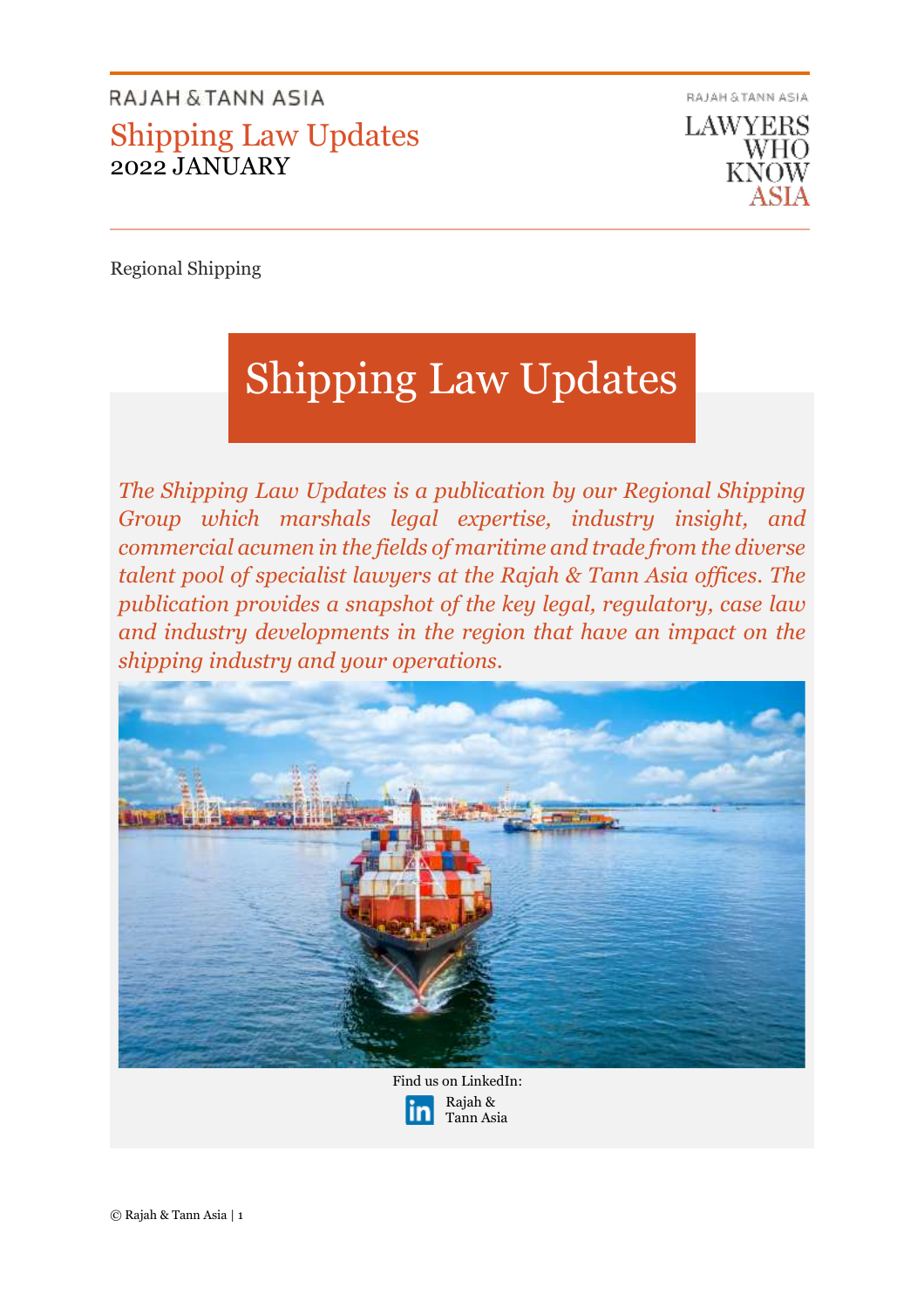

Regional Shipping

# Shipping Law Updates

*The Shipping Law Updates is a publication by our Regional Shipping Group which marshals legal expertise, industry insight, and commercial acumen in the fields of maritime and trade from the diverse talent pool of specialist lawyers at the Rajah & Tann Asia offices. The publication provides a snapshot of the key legal, regulatory, case law and industry developments in the region that have an impact on the shipping industry and your operations.* 



Rajah & Tann Asia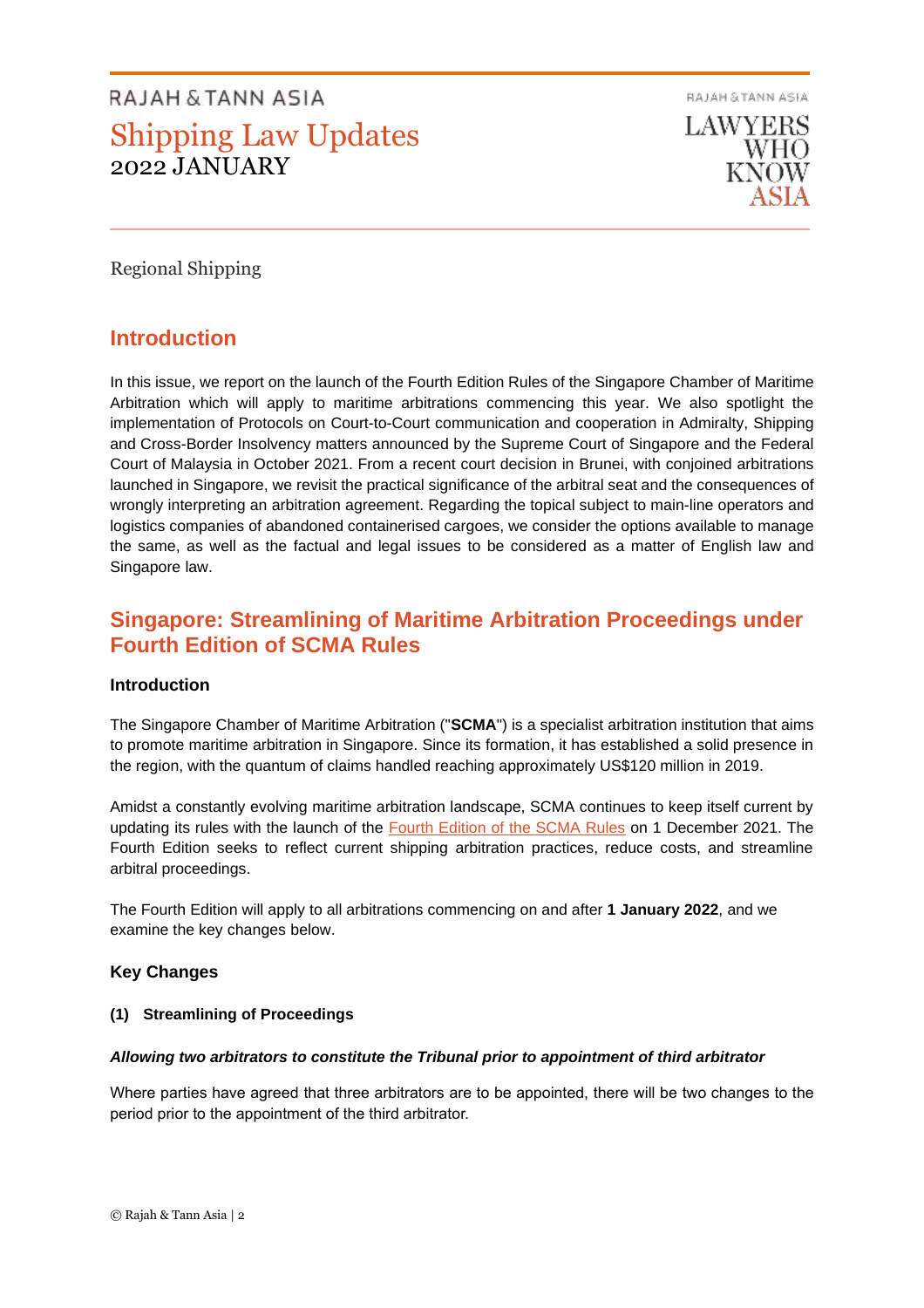RAJAH & TANN ASIA



Regional Shipping

# **Introduction**

In this issue, we report on the launch of the Fourth Edition Rules of the Singapore Chamber of Maritime Arbitration which will apply to maritime arbitrations commencing this year. We also spotlight the implementation of Protocols on Court-to-Court communication and cooperation in Admiralty, Shipping and Cross-Border Insolvency matters announced by the Supreme Court of Singapore and the Federal Court of Malaysia in October 2021. From a recent court decision in Brunei, with conjoined arbitrations launched in Singapore, we revisit the practical significance of the arbitral seat and the consequences of wrongly interpreting an arbitration agreement. Regarding the topical subject to main-line operators and logistics companies of abandoned containerised cargoes, we consider the options available to manage the same, as well as the factual and legal issues to be considered as a matter of English law and Singapore law.

# **Singapore: Streamlining of Maritime Arbitration Proceedings under Fourth Edition of SCMA Rules**

# **Introduction**

The Singapore Chamber of Maritime Arbitration ("**SCMA**") is a specialist arbitration institution that aims to promote maritime arbitration in Singapore. Since its formation, it has established a solid presence in the region, with the quantum of claims handled reaching approximately US\$120 million in 2019.

Amidst a constantly evolving maritime arbitration landscape, SCMA continues to keep itself current by updating its rules with the launch of the [Fourth Edition of the SCMA Rules](https://scma.org.sg/SiteFolders/scma/387/rules/SCMA%204th%20Edition%20Rules%20(1%20Jan%202022)%20ePDF.pdf) on 1 December 2021. The Fourth Edition seeks to reflect current shipping arbitration practices, reduce costs, and streamline arbitral proceedings.

The Fourth Edition will apply to all arbitrations commencing on and after **1 January 2022**, and we examine the key changes below.

# **Key Changes**

# **(1) Streamlining of Proceedings**

#### *Allowing two arbitrators to constitute the Tribunal prior to appointment of third arbitrator*

Where parties have agreed that three arbitrators are to be appointed, there will be two changes to the period prior to the appointment of the third arbitrator.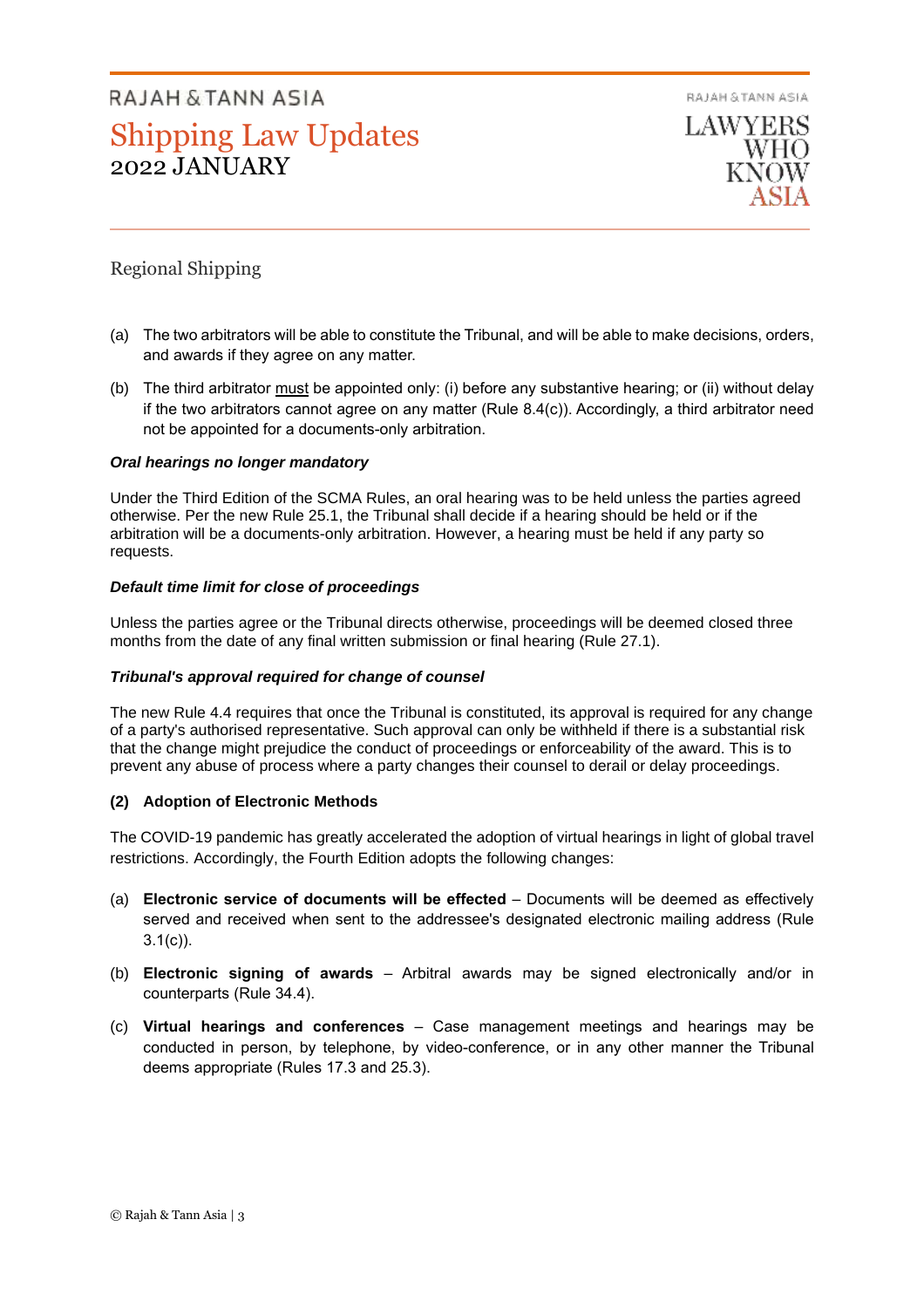RAJAH & TANN ASIA



# Regional Shipping

- (a) The two arbitrators will be able to constitute the Tribunal, and will be able to make decisions, orders, and awards if they agree on any matter.
- (b) The third arbitrator must be appointed only: (i) before any substantive hearing; or (ii) without delay if the two arbitrators cannot agree on any matter (Rule 8.4(c)). Accordingly, a third arbitrator need not be appointed for a documents-only arbitration.

# *Oral hearings no longer mandatory*

Under the Third Edition of the SCMA Rules, an oral hearing was to be held unless the parties agreed otherwise. Per the new Rule 25.1, the Tribunal shall decide if a hearing should be held or if the arbitration will be a documents-only arbitration. However, a hearing must be held if any party so requests.

## *Default time limit for close of proceedings*

Unless the parties agree or the Tribunal directs otherwise, proceedings will be deemed closed three months from the date of any final written submission or final hearing (Rule 27.1).

#### *Tribunal's approval required for change of counsel*

The new Rule 4.4 requires that once the Tribunal is constituted, its approval is required for any change of a party's authorised representative. Such approval can only be withheld if there is a substantial risk that the change might prejudice the conduct of proceedings or enforceability of the award. This is to prevent any abuse of process where a party changes their counsel to derail or delay proceedings.

# **(2) Adoption of Electronic Methods**

The COVID-19 pandemic has greatly accelerated the adoption of virtual hearings in light of global travel restrictions. Accordingly, the Fourth Edition adopts the following changes:

- (a) **Electronic service of documents will be effected** *–* Documents will be deemed as effectively served and received when sent to the addressee's designated electronic mailing address (Rule  $3.1(c)$ ).
- (b) **Electronic signing of awards** Arbitral awards may be signed electronically and/or in counterparts (Rule 34.4).
- (c) **Virtual hearings and conferences** Case management meetings and hearings may be conducted in person, by telephone, by video-conference, or in any other manner the Tribunal deems appropriate (Rules 17.3 and 25.3).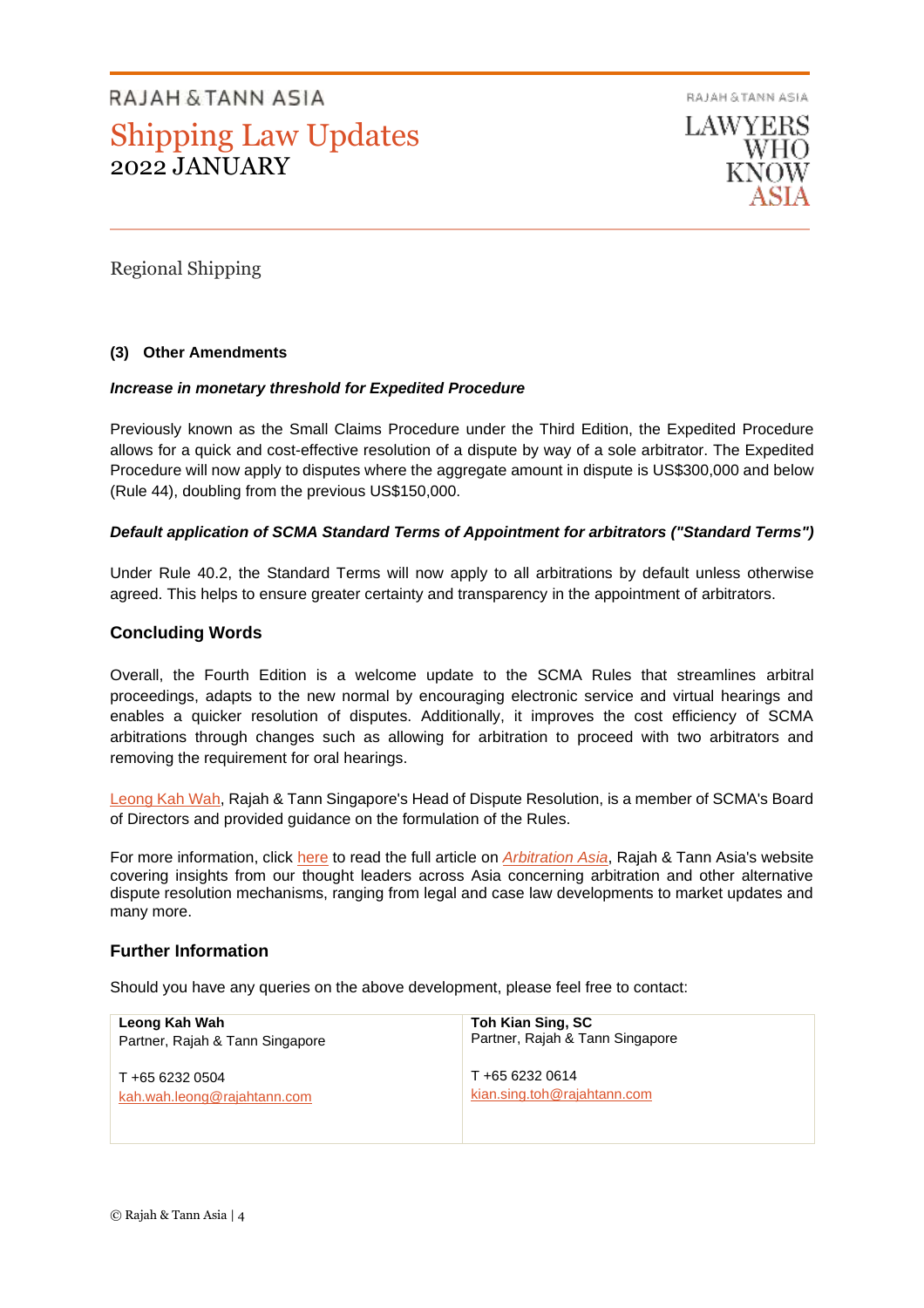RAJAH & TANN ASIA

LAWYERS **WHO** 

Regional Shipping

## **(3) Other Amendments**

#### *Increase in monetary threshold for Expedited Procedure*

Previously known as the Small Claims Procedure under the Third Edition, the Expedited Procedure allows for a quick and cost-effective resolution of a dispute by way of a sole arbitrator. The Expedited Procedure will now apply to disputes where the aggregate amount in dispute is US\$300,000 and below (Rule 44), doubling from the previous US\$150,000.

#### *Default application of SCMA Standard Terms of Appointment for arbitrators ("Standard Terms")*

Under Rule 40.2, the Standard Terms will now apply to all arbitrations by default unless otherwise agreed. This helps to ensure greater certainty and transparency in the appointment of arbitrators.

#### **Concluding Words**

Overall, the Fourth Edition is a welcome update to the SCMA Rules that streamlines arbitral proceedings, adapts to the new normal by encouraging electronic service and virtual hearings and enables a quicker resolution of disputes. Additionally, it improves the cost efficiency of SCMA arbitrations through changes such as allowing for arbitration to proceed with two arbitrators and removing the requirement for oral hearings.

[Leong Kah Wah,](https://sg.rajahtannasia.com/kah.wah.leong) Rajah & Tann Singapore's Head of Dispute Resolution, is a member of SCMA's Board of Directors and provided guidance on the formulation of the Rules.

For more information, click [here](https://arbitrationasia.rajahtannasia.com/streamlining-of-maritime-arbitration-proceedings-under-fourth-edition-of-scma-rules/) to read the full article on **[Arbitration Asia](https://arbitrationasia.rajahtannasia.com/)**, Rajah & Tann Asia's website covering insights from our thought leaders across Asia concerning arbitration and other alternative dispute resolution mechanisms, ranging from legal and case law developments to market updates and many more.

#### **Further Information**

Should you have any queries on the above development, please feel free to contact:

| Leong Kah Wah                   | Toh Kian Sing, SC               |
|---------------------------------|---------------------------------|
| Partner, Rajah & Tann Singapore | Partner, Rajah & Tann Singapore |
| T +65 6232 0504                 | T +65 6232 0614                 |
| kah.wah.leong@rajahtann.com     | kian.sing.toh@rajahtann.com     |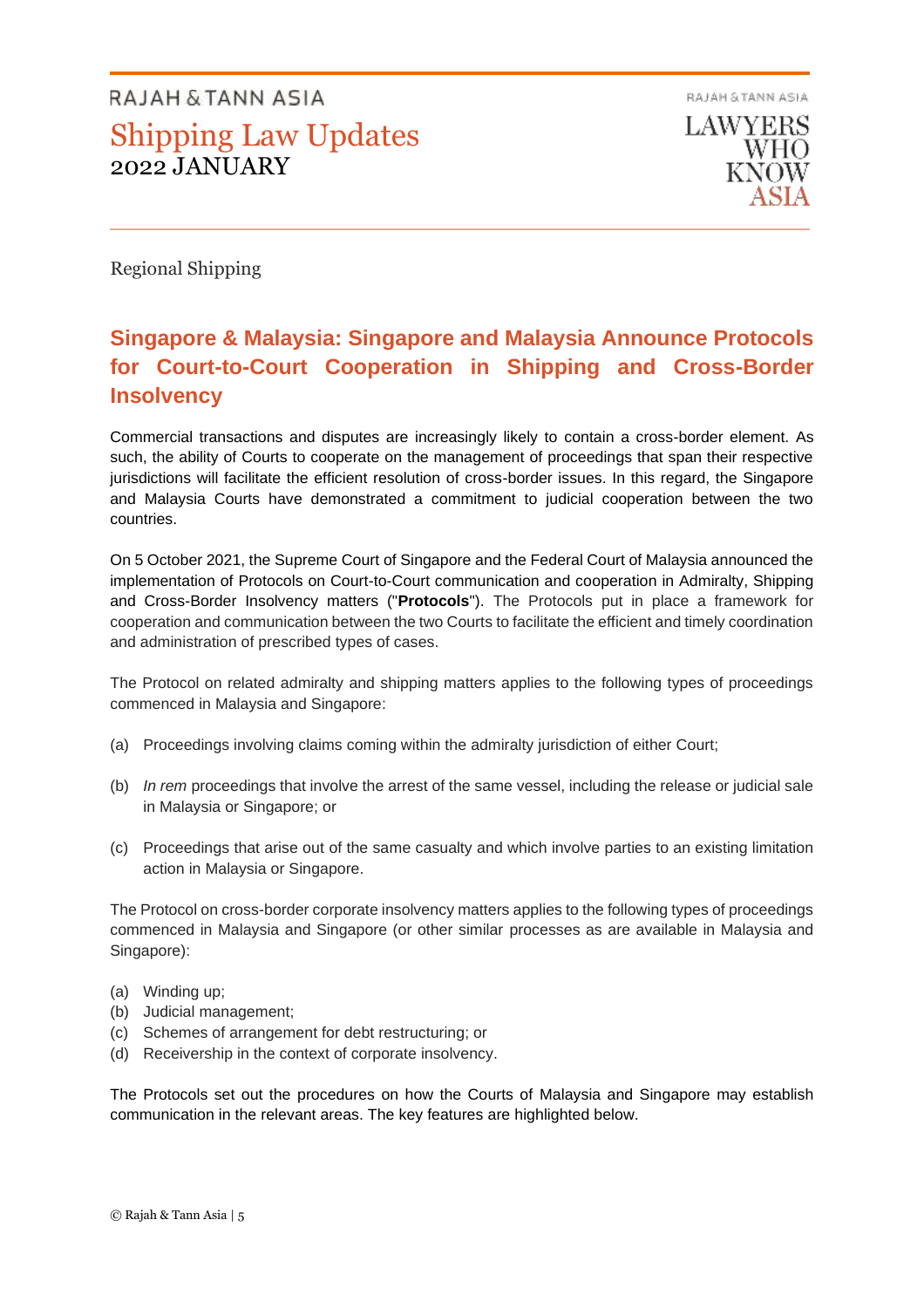RAJAH & TANN ASIA **LAWYERS** WHO

Regional Shipping

# **Singapore & Malaysia: Singapore and Malaysia Announce Protocols for Court-to-Court Cooperation in Shipping and Cross-Border Insolvency**

Commercial transactions and disputes are increasingly likely to contain a cross-border element. As such, the ability of Courts to cooperate on the management of proceedings that span their respective jurisdictions will facilitate the efficient resolution of cross-border issues. In this regard, the Singapore and Malaysia Courts have demonstrated a commitment to judicial cooperation between the two countries.

On 5 October 2021, the Supreme Court of Singapore and the Federal Court of Malaysia announced the implementation of Protocols on Court-to-Court communication and cooperation in Admiralty, Shipping and Cross-Border Insolvency matters ("**Protocols**"). The Protocols put in place a framework for cooperation and communication between the two Courts to facilitate the efficient and timely coordination and administration of prescribed types of cases.

The Protocol on related admiralty and shipping matters applies to the following types of proceedings commenced in Malaysia and Singapore:

- (a) Proceedings involving claims coming within the admiralty jurisdiction of either Court;
- (b) *In rem* proceedings that involve the arrest of the same vessel, including the release or judicial sale in Malaysia or Singapore; or
- (c) Proceedings that arise out of the same casualty and which involve parties to an existing limitation action in Malaysia or Singapore.

The Protocol on cross-border corporate insolvency matters applies to the following types of proceedings commenced in Malaysia and Singapore (or other similar processes as are available in Malaysia and Singapore):

- (a) Winding up;
- (b) Judicial management;
- (c) Schemes of arrangement for debt restructuring; or
- (d) Receivership in the context of corporate insolvency.

The Protocols set out the procedures on how the Courts of Malaysia and Singapore may establish communication in the relevant areas. The key features are highlighted below.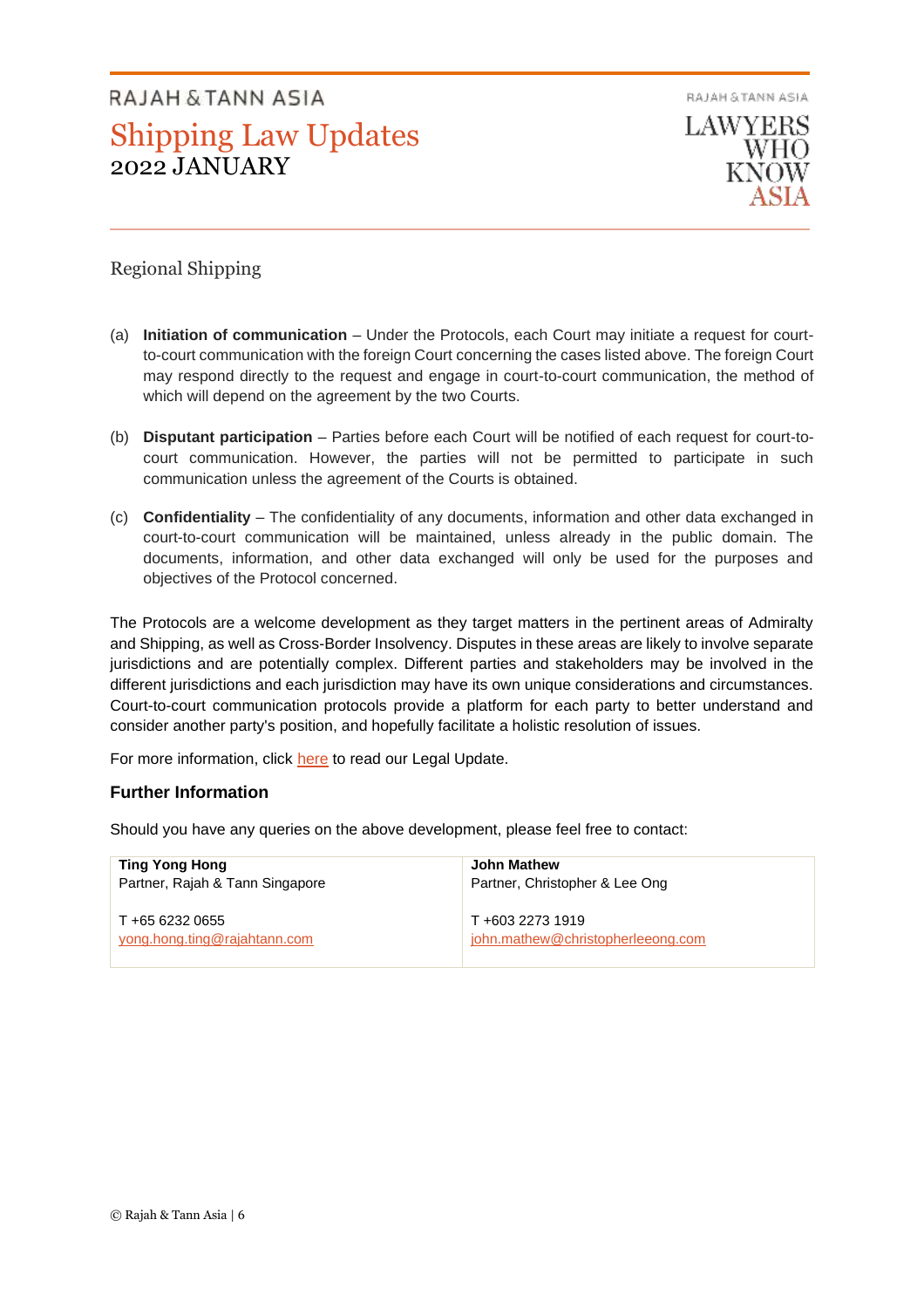RAJAH & TANN ASIA **LAWYERS WHO** 

# Regional Shipping

- (a) **Initiation of communication** Under the Protocols, each Court may initiate a request for courtto-court communication with the foreign Court concerning the cases listed above. The foreign Court may respond directly to the request and engage in court-to-court communication, the method of which will depend on the agreement by the two Courts.
- (b) **Disputant participation** Parties before each Court will be notified of each request for court-tocourt communication. However, the parties will not be permitted to participate in such communication unless the agreement of the Courts is obtained.
- (c) **Confidentiality** The confidentiality of any documents, information and other data exchanged in court-to-court communication will be maintained, unless already in the public domain. The documents, information, and other data exchanged will only be used for the purposes and objectives of the Protocol concerned.

The Protocols are a welcome development as they target matters in the pertinent areas of Admiralty and Shipping, as well as Cross-Border Insolvency. Disputes in these areas are likely to involve separate jurisdictions and are potentially complex. Different parties and stakeholders may be involved in the different jurisdictions and each jurisdiction may have its own unique considerations and circumstances. Court-to-court communication protocols provide a platform for each party to better understand and consider another party's position, and hopefully facilitate a holistic resolution of issues.

For more information, click [here](https://eoasis.rajahtann.com/eoasis/gn/at.asp?pdf=../lu/pdf/2021-10_SG-MSIA-Announce-Protocols-for-Court-to-Court.pdf&module=LU&topic=LU0013198&sec=b) to read our Legal Update.

# **Further Information**

Should you have any queries on the above development, please feel free to contact:

| <b>Ting Yong Hong</b>           | <b>John Mathew</b>                |
|---------------------------------|-----------------------------------|
| Partner, Rajah & Tann Singapore | Partner, Christopher & Lee Ong    |
| T +65 6232 0655                 | T+603 2273 1919                   |
| yong.hong.ting@rajahtann.com    | john.mathew@christopherleeong.com |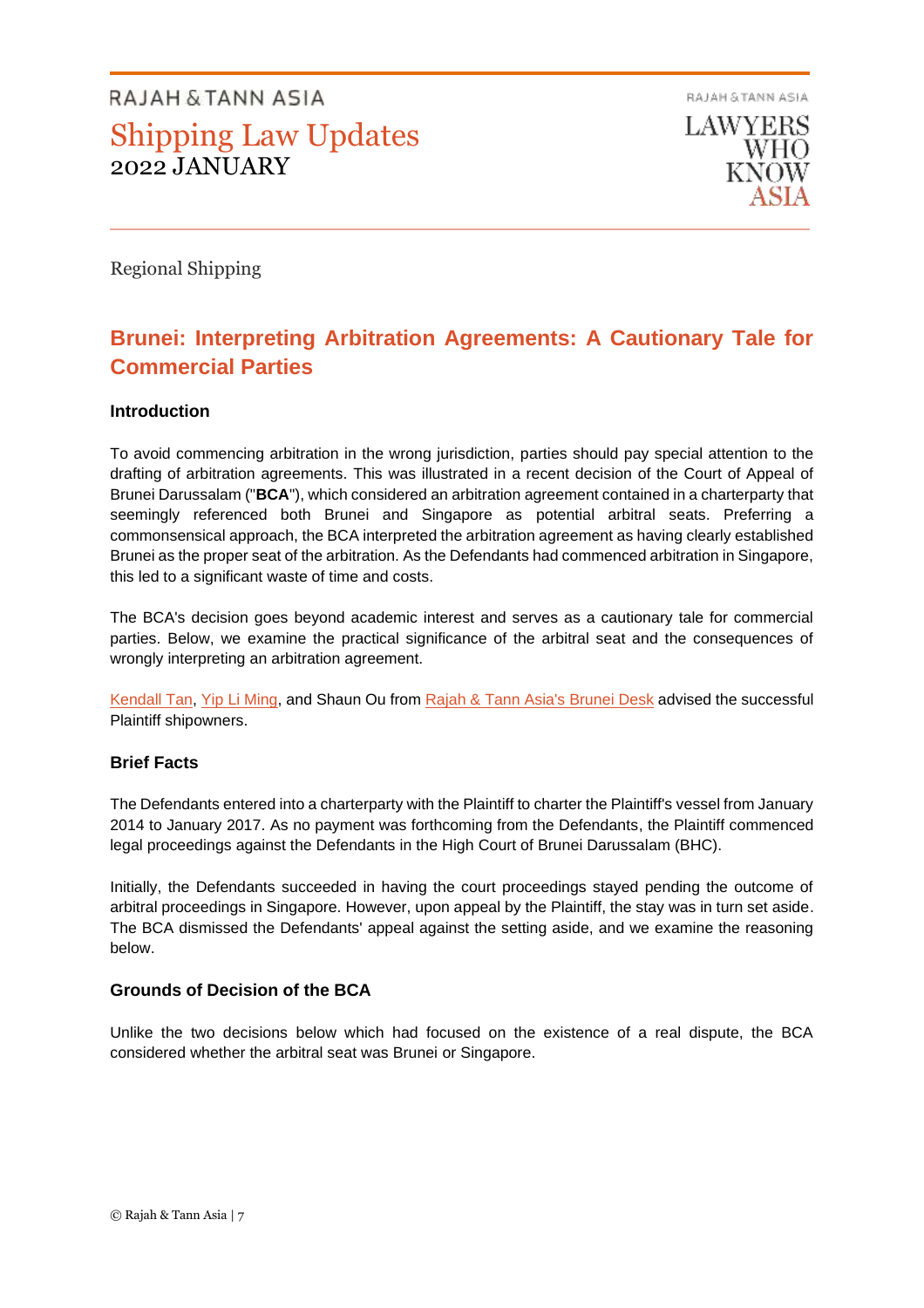RAJAH & TANN ASIA **LAWYERS** WHO KNOW

Regional Shipping

# **Brunei: Interpreting Arbitration Agreements: A Cautionary Tale for Commercial Parties**

# **Introduction**

To avoid commencing arbitration in the wrong jurisdiction, parties should pay special attention to the drafting of arbitration agreements. This was illustrated in a recent decision of the Court of Appeal of Brunei Darussalam ("**BCA**"), which considered an arbitration agreement contained in a charterparty that seemingly referenced both Brunei and Singapore as potential arbitral seats. Preferring a commonsensical approach, the BCA interpreted the arbitration agreement as having clearly established Brunei as the proper seat of the arbitration. As the Defendants had commenced arbitration in Singapore, this led to a significant waste of time and costs.

The BCA's decision goes beyond academic interest and serves as a cautionary tale for commercial parties. Below, we examine the practical significance of the arbitral seat and the consequences of wrongly interpreting an arbitration agreement.

[Kendall Tan,](https://bn.rajahtannasia.com/kendall.tan) [Yip Li Ming,](https://sg.rajahtannasia.com/li.ming.yip) and Shaun Ou from [Rajah & Tann Asia's Brunei Desk](https://bn.rajahtannasia.com/) advised the successful Plaintiff shipowners.

#### **Brief Facts**

The Defendants entered into a charterparty with the Plaintiff to charter the Plaintiff's vessel from January 2014 to January 2017. As no payment was forthcoming from the Defendants, the Plaintiff commenced legal proceedings against the Defendants in the High Court of Brunei Darussalam (BHC).

Initially, the Defendants succeeded in having the court proceedings stayed pending the outcome of arbitral proceedings in Singapore. However, upon appeal by the Plaintiff, the stay was in turn set aside. The BCA dismissed the Defendants' appeal against the setting aside, and we examine the reasoning below.

# **Grounds of Decision of the BCA**

Unlike the two decisions below which had focused on the existence of a real dispute, the BCA considered whether the arbitral seat was Brunei or Singapore.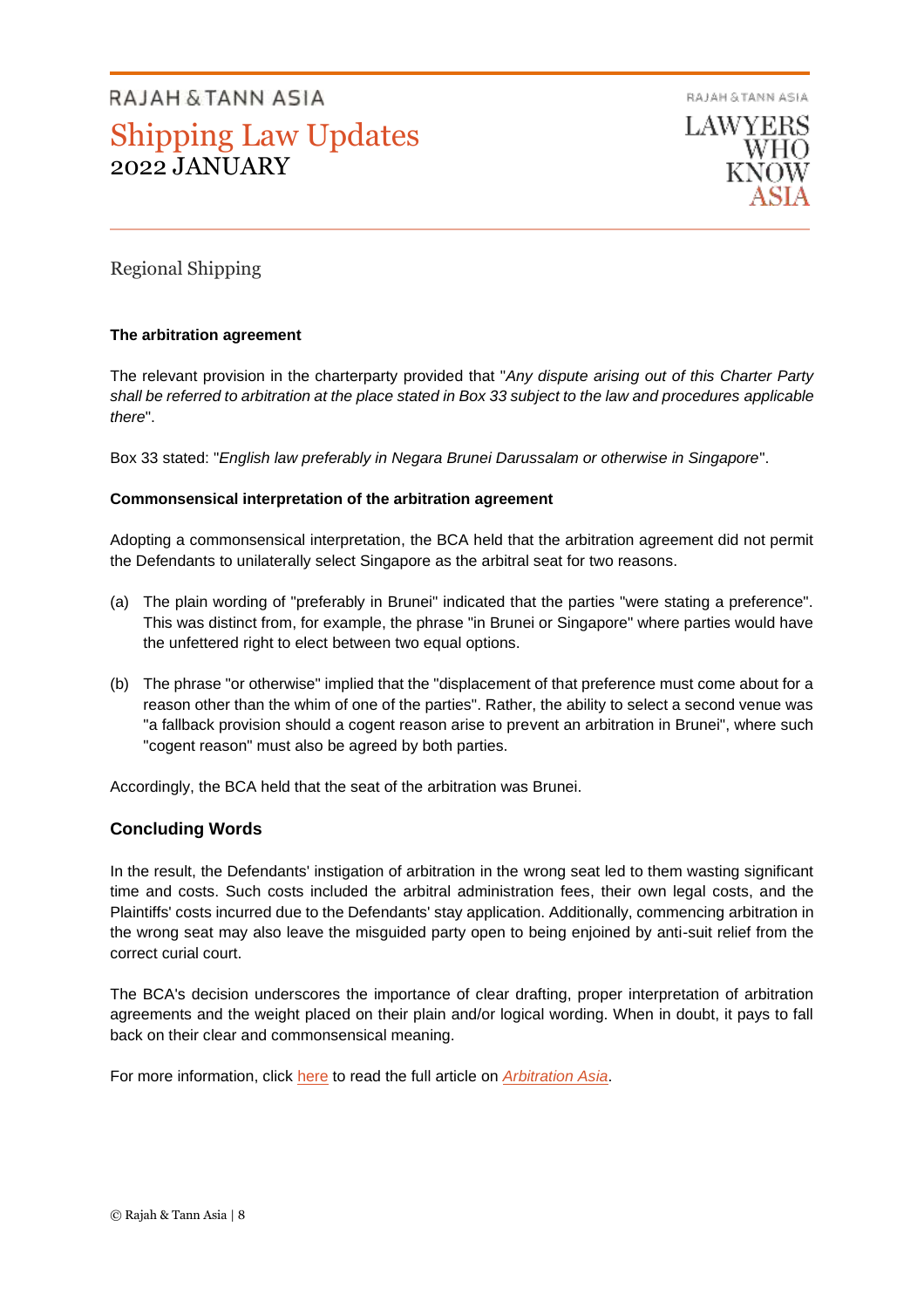RAJAH & TANN ASIA



# Regional Shipping

## **The arbitration agreement**

The relevant provision in the charterparty provided that "*Any dispute arising out of this Charter Party shall be referred to arbitration at the place stated in Box 33 subject to the law and procedures applicable there*".

Box 33 stated: "*English law preferably in Negara Brunei Darussalam or otherwise in Singapore*".

## **Commonsensical interpretation of the arbitration agreement**

Adopting a commonsensical interpretation, the BCA held that the arbitration agreement did not permit the Defendants to unilaterally select Singapore as the arbitral seat for two reasons.

- (a) The plain wording of "preferably in Brunei" indicated that the parties "were stating a preference". This was distinct from, for example, the phrase "in Brunei or Singapore" where parties would have the unfettered right to elect between two equal options.
- (b) The phrase "or otherwise" implied that the "displacement of that preference must come about for a reason other than the whim of one of the parties". Rather, the ability to select a second venue was "a fallback provision should a cogent reason arise to prevent an arbitration in Brunei", where such "cogent reason" must also be agreed by both parties.

Accordingly, the BCA held that the seat of the arbitration was Brunei.

# **Concluding Words**

In the result, the Defendants' instigation of arbitration in the wrong seat led to them wasting significant time and costs. Such costs included the arbitral administration fees, their own legal costs, and the Plaintiffs' costs incurred due to the Defendants' stay application. Additionally, commencing arbitration in the wrong seat may also leave the misguided party open to being enjoined by anti-suit relief from the correct curial court.

The BCA's decision underscores the importance of clear drafting, proper interpretation of arbitration agreements and the weight placed on their plain and/or logical wording. When in doubt, it pays to fall back on their clear and commonsensical meaning.

For more information, click [here](https://arbitrationasia.rajahtannasia.com/interpreting-arbitration-agreements-a-cautionary-tale-for-commercial-parties/) to read the full article on *[Arbitration Asia](https://arbitrationasia.rajahtannasia.com/)*.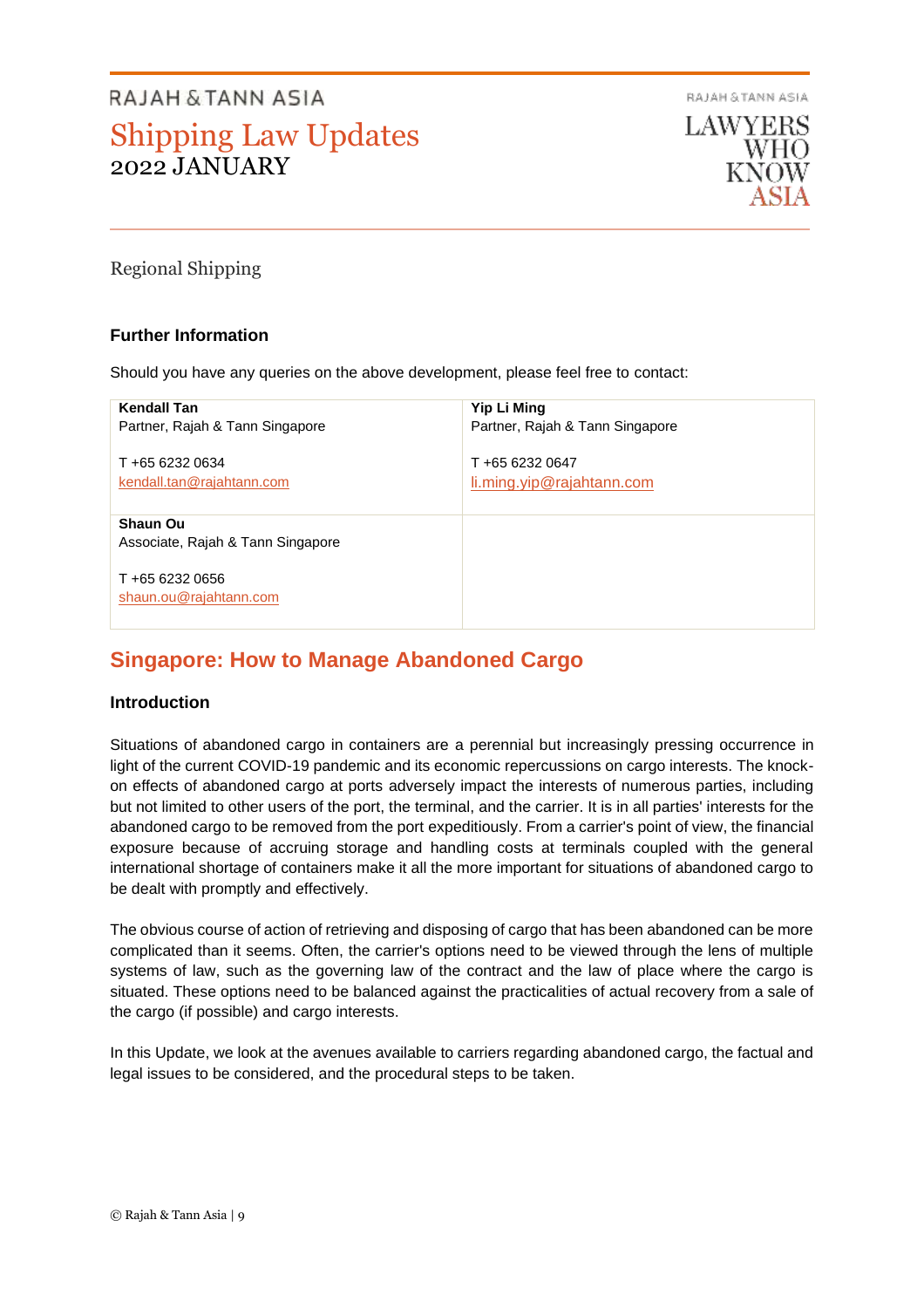RAJAH & TANN ASIA



Regional Shipping

# **Further Information**

Should you have any queries on the above development, please feel free to contact:

| <b>Kendall Tan</b>                                   | Yip Li Ming                     |
|------------------------------------------------------|---------------------------------|
| Partner, Rajah & Tann Singapore                      | Partner, Rajah & Tann Singapore |
| T +65 6232 0634                                      | T +65 6232 0647                 |
| kendall.tan@rajahtann.com                            | li.ming.yip@rajahtann.com       |
| <b>Shaun Ou</b><br>Associate, Rajah & Tann Singapore |                                 |
| T +65 6232 0656<br>shaun.ou@rajahtann.com            |                                 |

# **Singapore: How to Manage Abandoned Cargo**

#### **Introduction**

Situations of abandoned cargo in containers are a perennial but increasingly pressing occurrence in light of the current COVID-19 pandemic and its economic repercussions on cargo interests. The knockon effects of abandoned cargo at ports adversely impact the interests of numerous parties, including but not limited to other users of the port, the terminal, and the carrier. It is in all parties' interests for the abandoned cargo to be removed from the port expeditiously. From a carrier's point of view, the financial exposure because of accruing storage and handling costs at terminals coupled with the general international shortage of containers make it all the more important for situations of abandoned cargo to be dealt with promptly and effectively.

The obvious course of action of retrieving and disposing of cargo that has been abandoned can be more complicated than it seems. Often, the carrier's options need to be viewed through the lens of multiple systems of law, such as the governing law of the contract and the law of place where the cargo is situated. These options need to be balanced against the practicalities of actual recovery from a sale of the cargo (if possible) and cargo interests.

In this Update, we look at the avenues available to carriers regarding abandoned cargo, the factual and legal issues to be considered, and the procedural steps to be taken.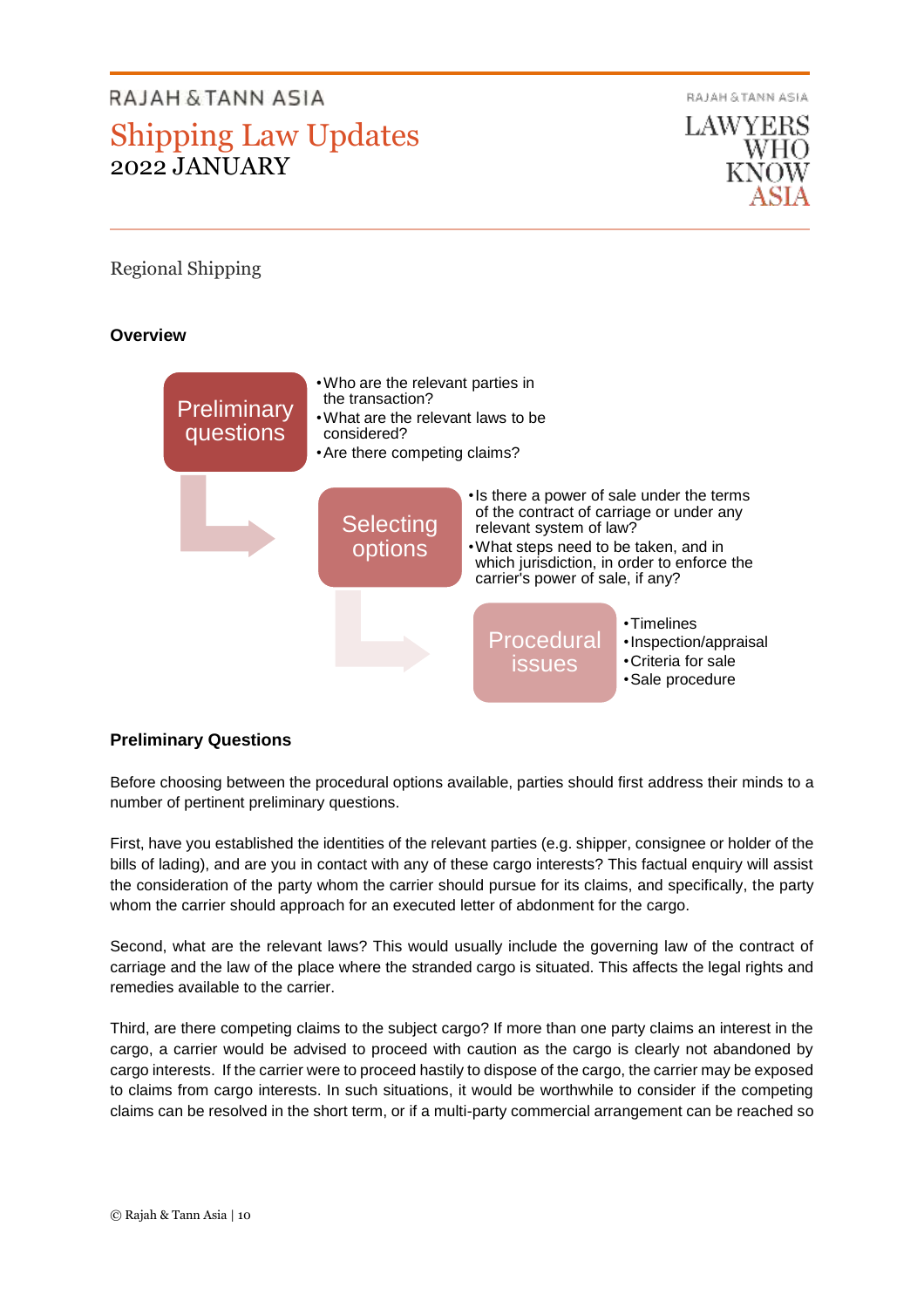RAJAH & TANN ASIA

LAWYERS WHO

# Regional Shipping

**Overview**



# **Preliminary Questions**

Before choosing between the procedural options available, parties should first address their minds to a number of pertinent preliminary questions.

First, have you established the identities of the relevant parties (e.g. shipper, consignee or holder of the bills of lading), and are you in contact with any of these cargo interests? This factual enquiry will assist the consideration of the party whom the carrier should pursue for its claims, and specifically, the party whom the carrier should approach for an executed letter of abdonment for the cargo.

Second, what are the relevant laws? This would usually include the governing law of the contract of carriage and the law of the place where the stranded cargo is situated. This affects the legal rights and remedies available to the carrier.

Third, are there competing claims to the subject cargo? If more than one party claims an interest in the cargo, a carrier would be advised to proceed with caution as the cargo is clearly not abandoned by cargo interests. If the carrier were to proceed hastily to dispose of the cargo, the carrier may be exposed to claims from cargo interests. In such situations, it would be worthwhile to consider if the competing claims can be resolved in the short term, or if a multi-party commercial arrangement can be reached so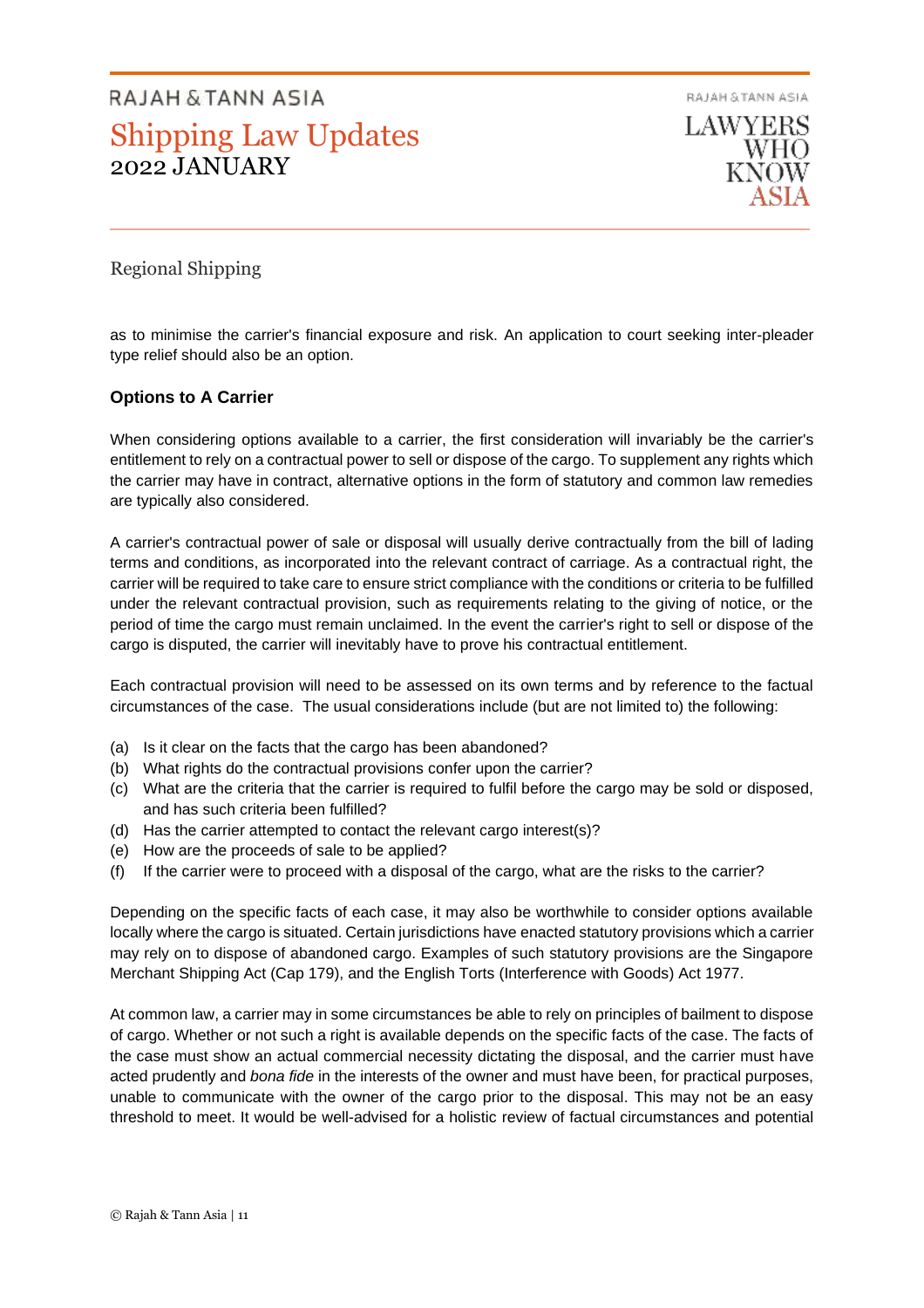RAJAH & TANN ASIA **LAWYERS WHO** 

# Regional Shipping

as to minimise the carrier's financial exposure and risk. An application to court seeking inter-pleader type relief should also be an option.

# **Options to A Carrier**

When considering options available to a carrier, the first consideration will invariably be the carrier's entitlement to rely on a contractual power to sell or dispose of the cargo. To supplement any rights which the carrier may have in contract, alternative options in the form of statutory and common law remedies are typically also considered.

A carrier's contractual power of sale or disposal will usually derive contractually from the bill of lading terms and conditions, as incorporated into the relevant contract of carriage. As a contractual right, the carrier will be required to take care to ensure strict compliance with the conditions or criteria to be fulfilled under the relevant contractual provision, such as requirements relating to the giving of notice, or the period of time the cargo must remain unclaimed. In the event the carrier's right to sell or dispose of the cargo is disputed, the carrier will inevitably have to prove his contractual entitlement.

Each contractual provision will need to be assessed on its own terms and by reference to the factual circumstances of the case. The usual considerations include (but are not limited to) the following:

- (a) Is it clear on the facts that the cargo has been abandoned?
- (b) What rights do the contractual provisions confer upon the carrier?
- (c) What are the criteria that the carrier is required to fulfil before the cargo may be sold or disposed, and has such criteria been fulfilled?
- (d) Has the carrier attempted to contact the relevant cargo interest(s)?
- (e) How are the proceeds of sale to be applied?
- (f) If the carrier were to proceed with a disposal of the cargo, what are the risks to the carrier?

Depending on the specific facts of each case, it may also be worthwhile to consider options available locally where the cargo is situated. Certain jurisdictions have enacted statutory provisions which a carrier may rely on to dispose of abandoned cargo. Examples of such statutory provisions are the Singapore Merchant Shipping Act (Cap 179), and the English Torts (Interference with Goods) Act 1977.

At common law, a carrier may in some circumstances be able to rely on principles of bailment to dispose of cargo. Whether or not such a right is available depends on the specific facts of the case. The facts of the case must show an actual commercial necessity dictating the disposal, and the carrier must have acted prudently and *bona fide* in the interests of the owner and must have been, for practical purposes, unable to communicate with the owner of the cargo prior to the disposal. This may not be an easy threshold to meet. It would be well-advised for a holistic review of factual circumstances and potential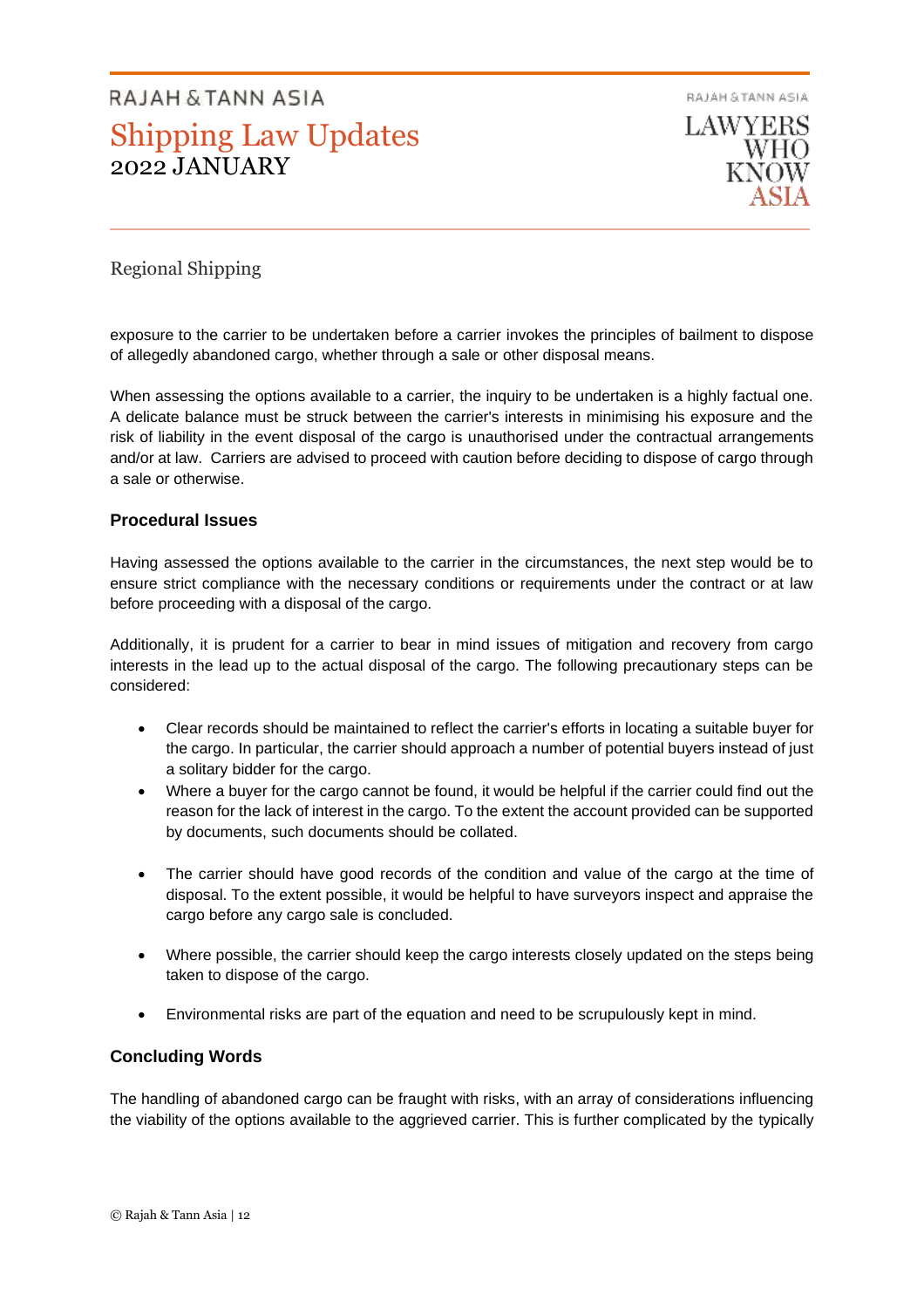RAJAH & TANN ASIA **LAWYERS** WHO

# Regional Shipping

exposure to the carrier to be undertaken before a carrier invokes the principles of bailment to dispose of allegedly abandoned cargo, whether through a sale or other disposal means.

When assessing the options available to a carrier, the inquiry to be undertaken is a highly factual one. A delicate balance must be struck between the carrier's interests in minimising his exposure and the risk of liability in the event disposal of the cargo is unauthorised under the contractual arrangements and/or at law. Carriers are advised to proceed with caution before deciding to dispose of cargo through a sale or otherwise.

## **Procedural Issues**

Having assessed the options available to the carrier in the circumstances, the next step would be to ensure strict compliance with the necessary conditions or requirements under the contract or at law before proceeding with a disposal of the cargo.

Additionally, it is prudent for a carrier to bear in mind issues of mitigation and recovery from cargo interests in the lead up to the actual disposal of the cargo. The following precautionary steps can be considered:

- Clear records should be maintained to reflect the carrier's efforts in locating a suitable buyer for the cargo. In particular, the carrier should approach a number of potential buyers instead of just a solitary bidder for the cargo.
- Where a buyer for the cargo cannot be found, it would be helpful if the carrier could find out the reason for the lack of interest in the cargo. To the extent the account provided can be supported by documents, such documents should be collated.
- The carrier should have good records of the condition and value of the cargo at the time of disposal. To the extent possible, it would be helpful to have surveyors inspect and appraise the cargo before any cargo sale is concluded.
- Where possible, the carrier should keep the cargo interests closely updated on the steps being taken to dispose of the cargo.
- Environmental risks are part of the equation and need to be scrupulously kept in mind.

# **Concluding Words**

The handling of abandoned cargo can be fraught with risks, with an array of considerations influencing the viability of the options available to the aggrieved carrier. This is further complicated by the typically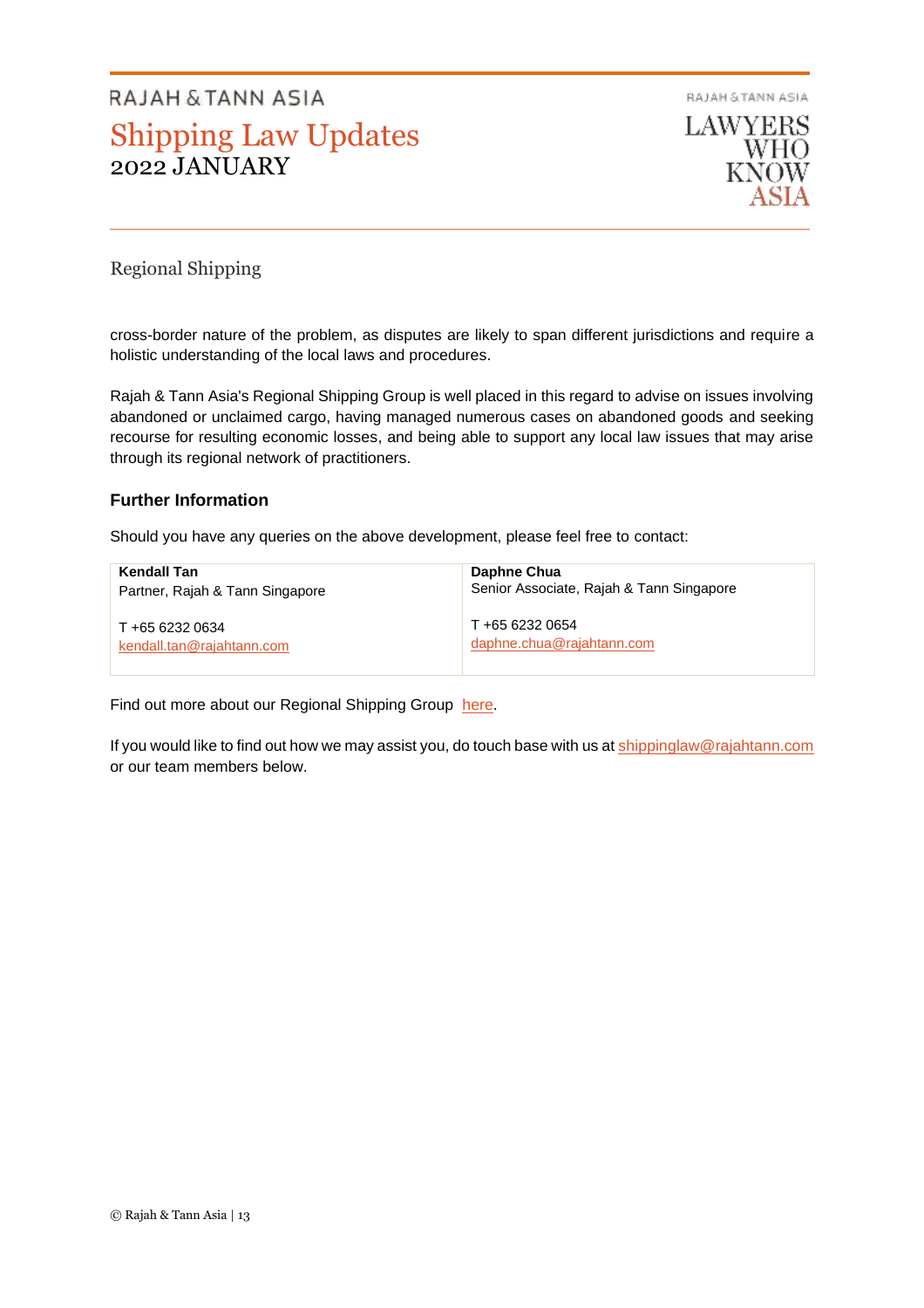RAJAH & TANN ASIA



# Regional Shipping

cross-border nature of the problem, as disputes are likely to span different jurisdictions and require a holistic understanding of the local laws and procedures.

Rajah & Tann Asia's Regional Shipping Group is well placed in this regard to advise on issues involving abandoned or unclaimed cargo, having managed numerous cases on abandoned goods and seeking recourse for resulting economic losses, and being able to support any local law issues that may arise through its regional network of practitioners.

# **Further Information**

Should you have any queries on the above development, please feel free to contact:

| Kendall Tan                     | Daphne Chua                              |
|---------------------------------|------------------------------------------|
| Partner, Rajah & Tann Singapore | Senior Associate, Rajah & Tann Singapore |
| T +65 6232 0634                 | T +65 6232 0654                          |
| kendall.tan@rajahtann.com       | daphne.chua@rajahtann.com                |

Find out more about our Regional Shipping Group [here.](https://www.rajahtannasia.com/our-practices/shipping-international-trade)

If you would like to find out how we may assist you, do touch base with us at [shippinglaw@rajahtann.com](mailto:shippinglaw@rajahtann.com) or our team members below.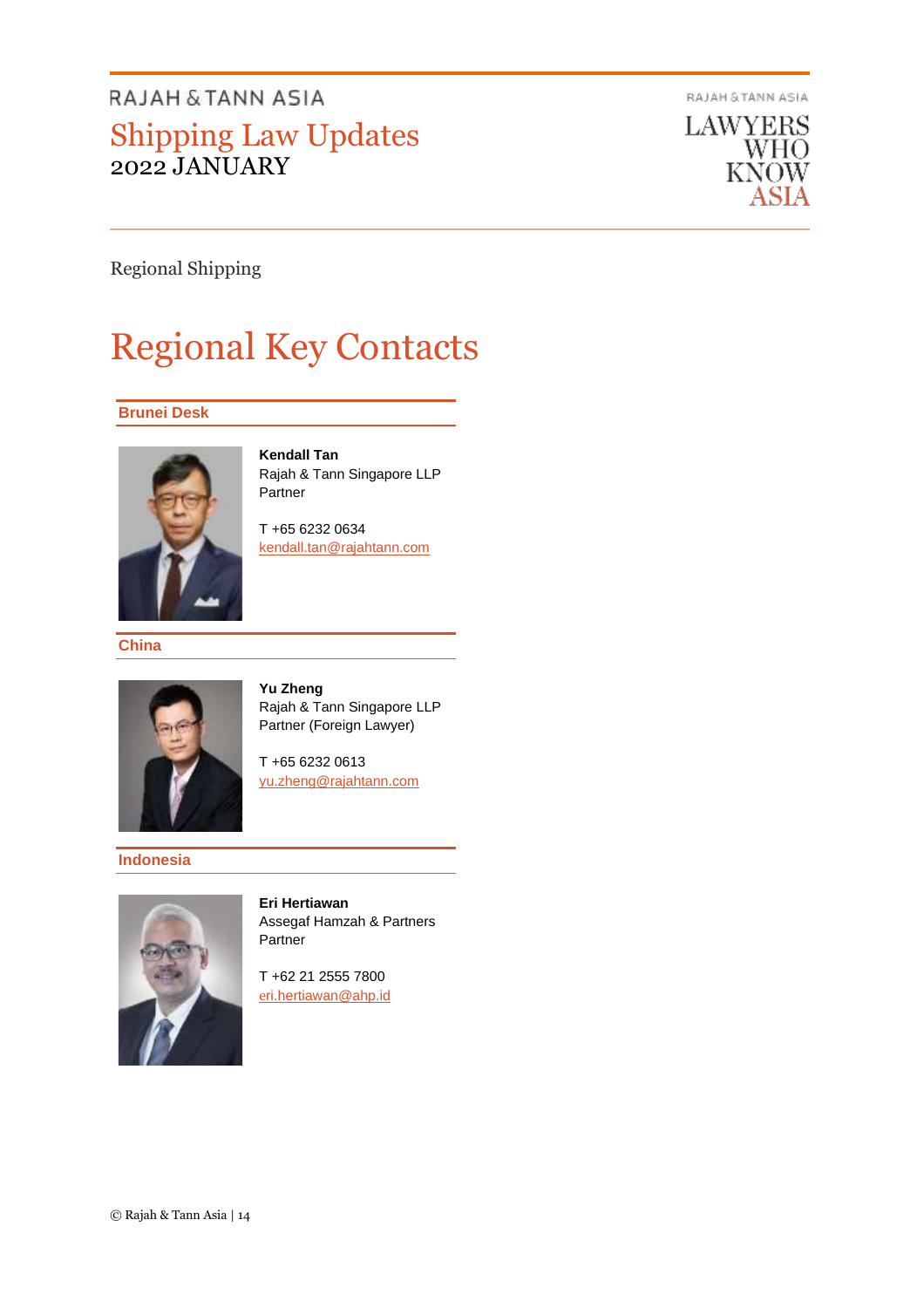RAJAH & TANN ASIA

**LAWYERS** WHO KNOW

Regional Shipping

# Regional Key Contacts

## **Brunei Desk**



**Kendall Tan** Rajah & Tann Singapore LLP Partner

T +65 6232 0634 [kendall.tan@rajahtann.com](mailto:kendall.tan@rajahtann.com)

**China**



**Yu Zheng** Rajah & Tann Singapore LLP Partner (Foreign Lawyer)

T +65 6232 0613 [yu.zheng@rajahtann.com](mailto:yu.zheng@rajahtann.com)

# **Indonesia**



**Eri Hertiawan** Assegaf Hamzah & Partners Partner

T +62 21 2555 7800 [e](mailto:eri.hertiawan@ahp.id)[ri.hertiawan@ahp.id](mailto:eri.hertiawan@ahp.id)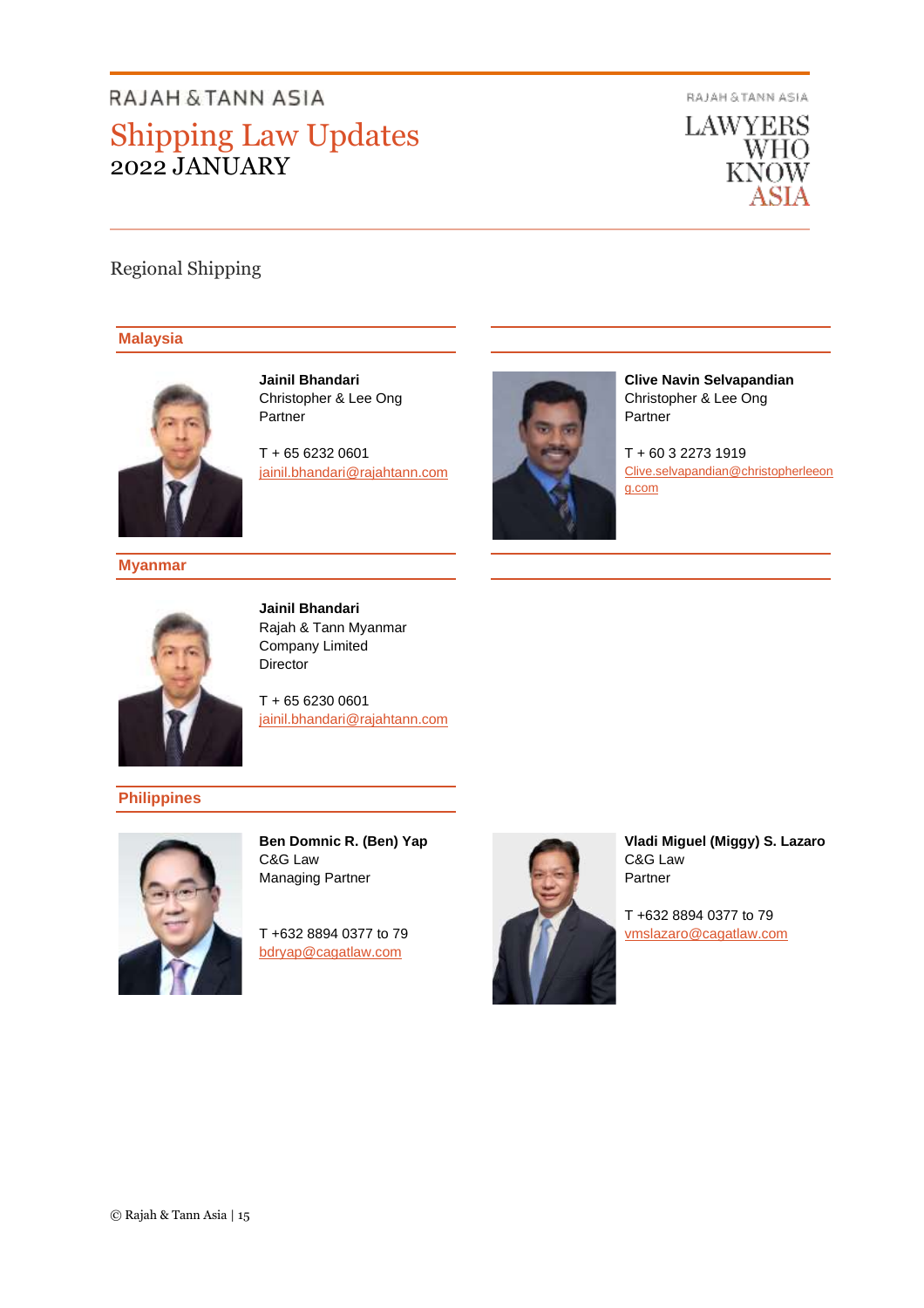RAJAH & TANN ASIA



# Regional Shipping

#### **Malaysia**



**Jainil Bhandari** Christopher & Lee Ong Partner

T + 65 6232 0601 [jainil.bhandari@rajahtann.com](mailto:jainil.bhandari@rajahtann.com)



**Clive Navin Selvapandian** Christopher & Lee Ong Partner

T + 60 3 2273 1919 [Clive.selvapandian@christopherleeon](mailto:Clive.selvapandian@christopherleeong.com) [g.com](mailto:Clive.selvapandian@christopherleeong.com)

**Myanmar**



**Jainil Bhandari** Rajah & Tann Myanmar Company Limited Director

T + 65 6230 0601 [jainil.bhandari@rajahtann.com](mailto:jainil.bhandari@rajahtann.com)

**Philippines**



**Ben Domnic R. (Ben) Yap** C&G Law Managing Partner

T +632 8894 0377 to 79 [bdryap@cagatlaw.com](mailto:bdryap@cagatlaw.com)



**Vladi Miguel (Miggy) S. Lazaro** C&G Law Partner

T +632 8894 0377 to 79 [vmslazaro@cagatlaw.com](mailto:vmslazaro@cagatlaw.com)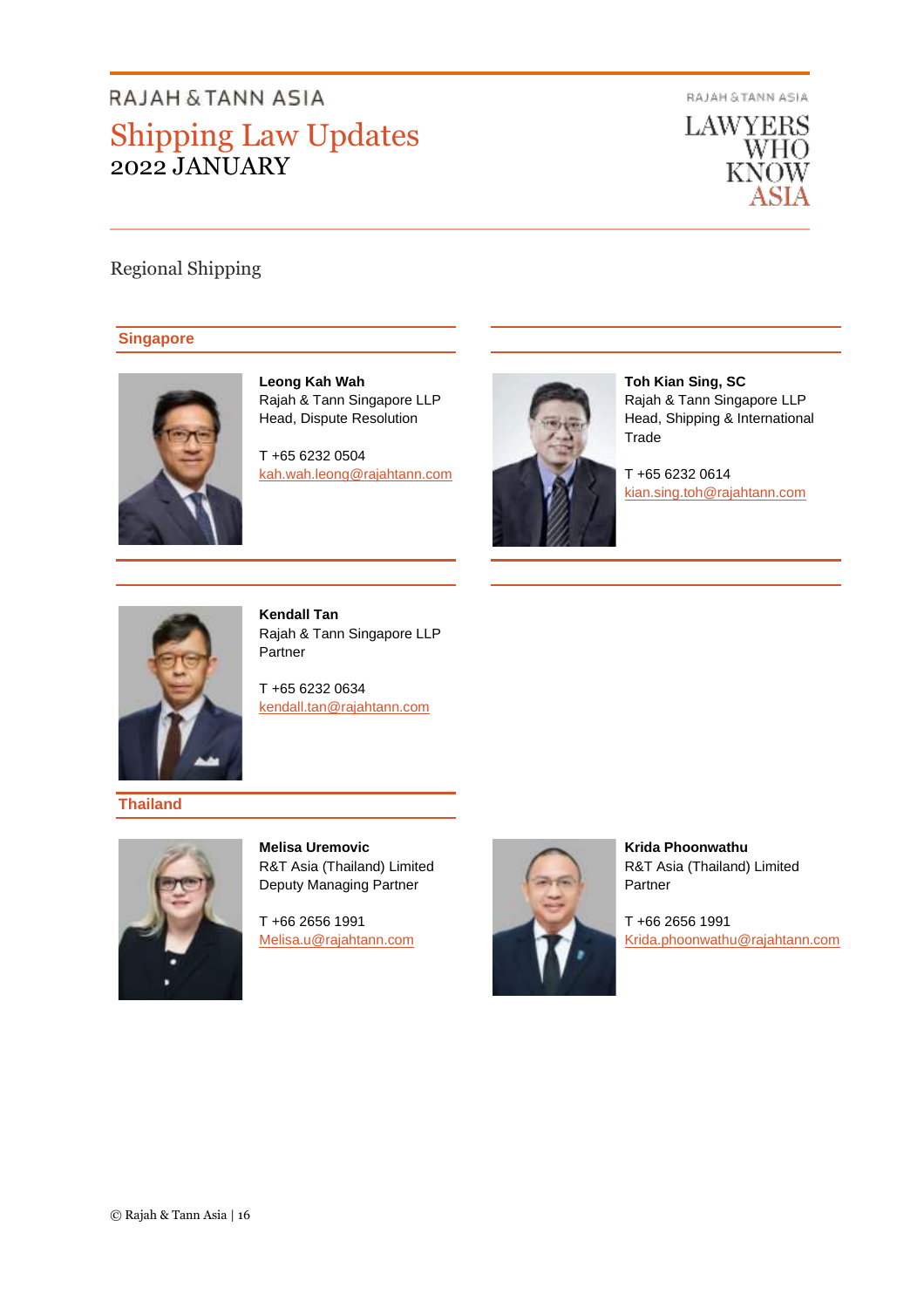RAJAH & TANN ASIA



# Regional Shipping

## **Singapore**



**Leong Kah Wah** Rajah & Tann Singapore LLP Head, Dispute Resolution

T +65 6232 0504 [kah.wah.leong@rajahtann.com](mailto:kah.wah.leong@rajahtann.com)



**Toh Kian Sing, SC** Rajah & Tann Singapore LLP Head, Shipping & International Trade

T +65 6232 0614 [kian.sing.toh@rajahtann.com](mailto:kian.sing.toh@rajahtann.com)



**Kendall Tan** Rajah & Tann Singapore LLP Partner

T +65 6232 0634 [kendall.tan@rajahtann.com](mailto:kendall.tan@rajahtann.com)

**Thailand**



**Melisa Uremovic** R&T Asia (Thailand) Limited Deputy Managing Partner

T +66 2656 1991 [Melisa.u@rajahtann.com](mailto:Melisa.u@rajahtann.com)



**Krida Phoonwathu** R&T Asia (Thailand) Limited Partner

T +66 2656 1991 [Krida.phoonwathu@rajahtann.com](mailto:Krida.phoonwathu@rajahtann.com)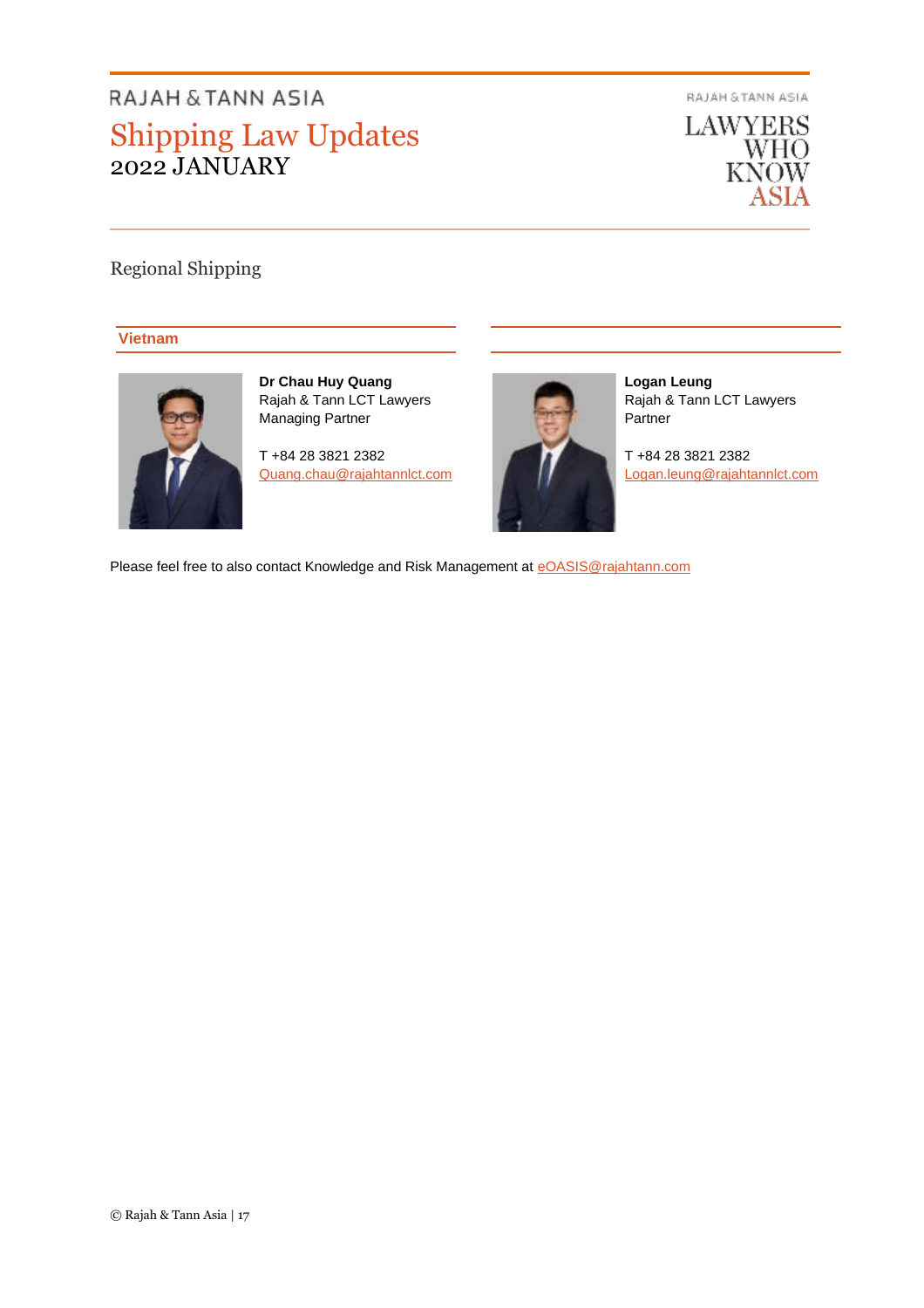RAJAH & TANN ASIA



# Regional Shipping

## **Vietnam**



**Dr Chau Huy Quang**  Rajah & Tann LCT Lawyers Managing Partner

T +84 28 3821 2382 [Quang.chau@rajahtannlct.com](mailto:Quang.chau@rajahtannlct.com)



**Logan Leung** Rajah & Tann LCT Lawyers Partner

T +84 28 3821 2382 [Logan.leung@rajahtannlct.com](mailto:Logan.leung@rajahtannlct.com)

Please feel free to also contact Knowledge and Risk Management at [eOASIS@rajahtann.com](mailto:eOASIS@rajahtann.com)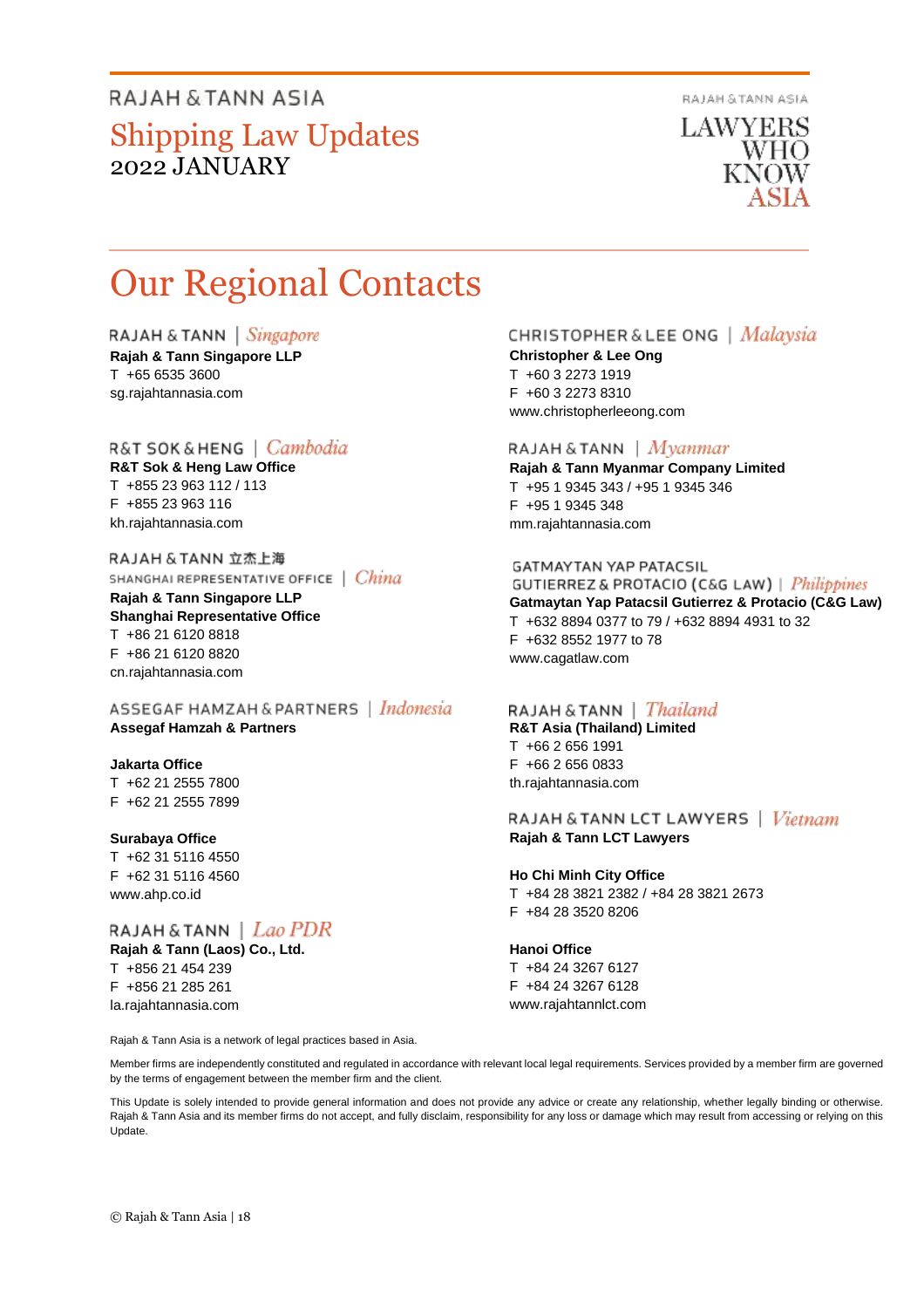RAJAH & TANN ASIA

**LAWYERS** WHO KNOW

# Our Regional Contacts

RAJAH & TANN  $\vert$  Singapore

**Rajah & Tann Singapore LLP** T +65 6535 3600 sg.rajahtannasia.com

# R&T SOK & HENG | Cambodia

**R&T Sok & Heng Law Office** T +855 23 963 112 / 113 F +855 23 963 116 kh.rajahtannasia.com

RAJAH & TANN 立杰上海 SHANGHAI REPRESENTATIVE OFFICE | China

**Rajah & Tann Singapore LLP Shanghai Representative Office** T +86 21 6120 8818 F +86 21 6120 8820 cn.rajahtannasia.com

ASSEGAF HAMZAH & PARTNERS | Indonesia **Assegaf Hamzah & Partners**

#### **Jakarta Office**

T +62 21 2555 7800 F +62 21 2555 7899

#### **Surabaya Office**

T +62 31 5116 4550 F +62 31 5116 4560 www.ahp.co.id

RAJAH & TANN | Lao PDR **Rajah & Tann (Laos) Co., Ltd.**

T +856 21 454 239 F +856 21 285 261 la.rajahtannasia.com

Rajah & Tann Asia is a network of legal practices based in Asia.

# **CHRISTOPHER & LEE ONG** | Malaysia

**Christopher & Lee Ong** T +60 3 2273 1919 F +60 3 2273 8310 www.christopherleeong.com

#### RAJAH & TANN  $\mid$  *Myanmar*

**Rajah & Tann Myanmar Company Limited** T +95 1 9345 343 / +95 1 9345 346 F +95 1 9345 348 mm.rajahtannasia.com

#### **GATMAYTAN YAP PATACSIL**

**GUTIERREZ & PROTACIO (C&G LAW)** | *Philippines* **Gatmaytan Yap Patacsil Gutierrez & Protacio (C&G Law)**  T +632 8894 0377 to 79 / +632 8894 4931 to 32 F +632 8552 1977 to 78 www.cagatlaw.com

#### RAJAH & TANN | *Thailand*

**R&T Asia (Thailand) Limited** T +66 2 656 1991 F +66 2 656 0833 th.rajahtannasia.com

RAJAH & TANN LCT LAWYERS | Vietnam **Rajah & Tann LCT Lawyers**

**Ho Chi Minh City Office** T +84 28 3821 2382 / +84 28 3821 2673

F +84 28 3520 8206

#### **Hanoi Office**

T +84 24 3267 6127 F +84 24 3267 6128 www.rajahtannlct.com

Member firms are independently constituted and regulated in accordance with relevant local legal requirements. Services provided by a member firm are governed by the terms of engagement between the member firm and the client.

This Update is solely intended to provide general information and does not provide any advice or create any relationship, whether legally binding or otherwise. Rajah & Tann Asia and its member firms do not accept, and fully disclaim, responsibility for any loss or damage which may result from accessing or relying on this Update.